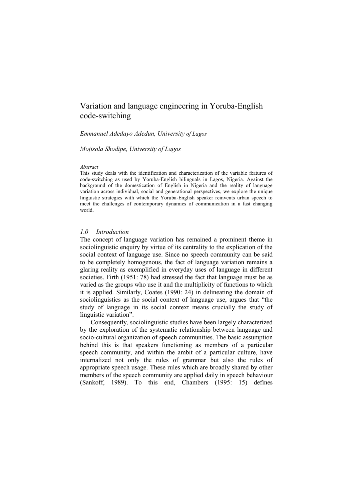# Variation and language engineering in Yoruba-English code-switching

## *Emmanuel Adedayo Adedun, University of Lagos*

*Mojisola Shodipe, University of Lagos*

#### *Abstract*

This study deals with the identification and characterization of the variable features of code-switching as used by Yoruba-English bilinguals in Lagos, Nigeria. Against the background of the domestication of English in Nigeria and the reality of language variation across individual, social and generational perspectives, we explore the unique linguistic strategies with which the Yoruba-English speaker reinvents urban speech to meet the challenges of contemporary dynamics of communication in a fast changing world.

#### *1.0 Introduction*

The concept of language variation has remained a prominent theme in sociolinguistic enquiry by virtue of its centrality to the explication of the social context of language use. Since no speech community can be said to be completely homogenous, the fact of language variation remains a glaring reality as exemplified in everyday uses of language in different societies. Firth (1951: 78) had stressed the fact that language must be as varied as the groups who use it and the multiplicity of functions to which it is applied. Similarly, Coates (1990: 24) in delineating the domain of sociolinguistics as the social context of language use, argues that "the study of language in its social context means crucially the study of linguistic variation".

Consequently, sociolinguistic studies have been largely characterized by the exploration of the systematic relationship between language and socio-cultural organization of speech communities. The basic assumption behind this is that speakers functioning as members of a particular speech community, and within the ambit of a particular culture, have internalized not only the rules of grammar but also the rules of appropriate speech usage. These rules which are broadly shared by other members of the speech community are applied daily in speech behaviour (Sankoff, 1989). To this end, Chambers (1995: 15) defines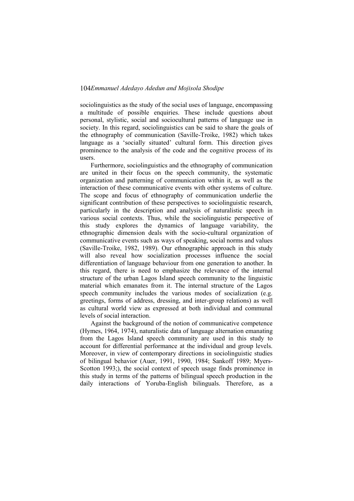sociolinguistics as the study of the social uses of language, encompassing a multitude of possible enquiries. These include questions about personal, stylistic, social and sociocultural patterns of language use in society. In this regard, sociolinguistics can be said to share the goals of the ethnography of communication (Saville-Troike, 1982) which takes language as a 'socially situated' cultural form. This direction gives prominence to the analysis of the code and the cognitive process of its users.

Furthermore, sociolinguistics and the ethnography of communication are united in their focus on the speech community, the systematic organization and patterning of communication within it, as well as the interaction of these communicative events with other systems of culture. The scope and focus of ethnography of communication underlie the significant contribution of these perspectives to sociolinguistic research, particularly in the description and analysis of naturalistic speech in various social contexts. Thus, while the sociolinguistic perspective of this study explores the dynamics of language variability, the ethnographic dimension deals with the socio-cultural organization of communicative events such as ways of speaking, social norms and values (Saville-Troike, 1982, 1989). Our ethnographic approach in this study will also reveal how socialization processes influence the social differentiation of language behaviour from one generation to another. In this regard, there is need to emphasize the relevance of the internal structure of the urban Lagos Island speech community to the linguistic material which emanates from it. The internal structure of the Lagos speech community includes the various modes of socialization (e.g. greetings, forms of address, dressing, and inter-group relations) as well as cultural world view as expressed at both individual and communal levels of social interaction.

Against the background of the notion of communicative competence (Hymes, 1964, 1974), naturalistic data of language alternation emanating from the Lagos Island speech community are used in this study to account for differential performance at the individual and group levels. Moreover, in view of contemporary directions in sociolinguistic studies of bilingual behavior (Auer, 1991, 1990, 1984; Sankoff 1989; Myers-Scotton 1993;), the social context of speech usage finds prominence in this study in terms of the patterns of bilingual speech production in the daily interactions of Yoruba-English bilinguals. Therefore, as a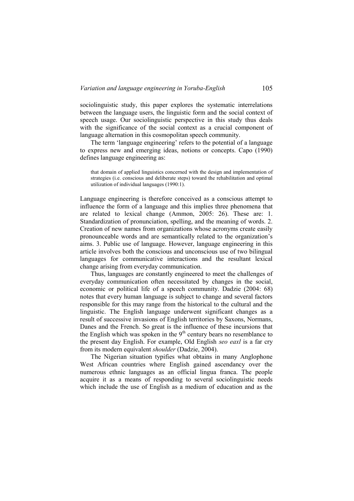sociolinguistic study, this paper explores the systematic interrelations between the language users, the linguistic form and the social context of speech usage. Our sociolinguistic perspective in this study thus deals with the significance of the social context as a crucial component of language alternation in this cosmopolitan speech community.

The term 'language engineering' refers to the potential of a language to express new and emerging ideas, notions or concepts. Capo (1990) defines language engineering as:

that domain of applied linguistics concerned with the design and implementation of strategies (i.e. conscious and deliberate steps) toward the rehabilitation and optimal utilization of individual languages (1990:1).

Language engineering is therefore conceived as a conscious attempt to influence the form of a language and this implies three phenomena that are related to lexical change (Ammon, 2005: 26). These are: 1. Standardization of pronunciation, spelling, and the meaning of words. 2. Creation of new names from organizations whose acronyms create easily pronounceable words and are semantically related to the organization's aims. 3. Public use of language. However, language engineering in this article involves both the conscious and unconscious use of two bilingual languages for communicative interactions and the resultant lexical change arising from everyday communication.

Thus, languages are constantly engineered to meet the challenges of everyday communication often necessitated by changes in the social, economic or political life of a speech community. Dadzie (2004: 68) notes that every human language is subject to change and several factors responsible for this may range from the historical to the cultural and the linguistic. The English language underwent significant changes as a result of successive invasions of English territories by Saxons, Normans, Danes and the French. So great is the influence of these incursions that the English which was spoken in the 9<sup>th</sup> century bears no resemblance to the present day English. For example, Old English *seo eaxl* is a far cry from its modern equivalent *shoulder* (Dadzie, 2004).

The Nigerian situation typifies what obtains in many Anglophone West African countries where English gained ascendancy over the numerous ethnic languages as an official lingua franca. The people acquire it as a means of responding to several sociolinguistic needs which include the use of English as a medium of education and as the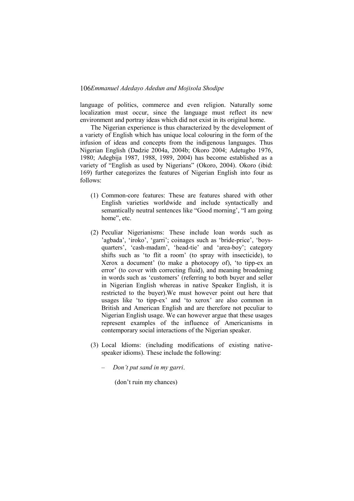language of politics, commerce and even religion. Naturally some localization must occur, since the language must reflect its new environment and portray ideas which did not exist in its original home.

The Nigerian experience is thus characterized by the development of a variety of English which has unique local colouring in the form of the infusion of ideas and concepts from the indigenous languages. Thus Nigerian English (Dadzie 2004a, 2004b; Okoro 2004; Adetugbo 1976, 1980; Adegbija 1987, 1988, 1989, 2004) has become established as a variety of "English as used by Nigerians" (Okoro, 2004). Okoro (ibid: 169) further categorizes the features of Nigerian English into four as follows:

- (1) Common-core features: These are features shared with other English varieties worldwide and include syntactically and semantically neutral sentences like "Good morning', "I am going home", etc.
- (2) Peculiar Nigerianisms: These include loan words such as 'agbada', 'iroko', 'garri'; coinages such as 'bride-price', 'boysquarters', 'cash-madam', 'head-tie' and 'area-boy'; category shifts such as 'to flit a room' (to spray with insecticide), to Xerox a document' (to make a photocopy of), ‗to tipp-ex an error' (to cover with correcting fluid), and meaning broadening in words such as 'customers' (referring to both buyer and seller in Nigerian English whereas in native Speaker English, it is restricted to the buyer).We must however point out here that usages like 'to tipp-ex' and 'to xerox' are also common in British and American English and are therefore not peculiar to Nigerian English usage. We can however argue that these usages represent examples of the influence of Americanisms in contemporary social interactions of the Nigerian speaker.
- (3) Local Idioms: (including modifications of existing nativespeaker idioms). These include the following:
	- *Don't put sand in my garri*.

(don't ruin my chances)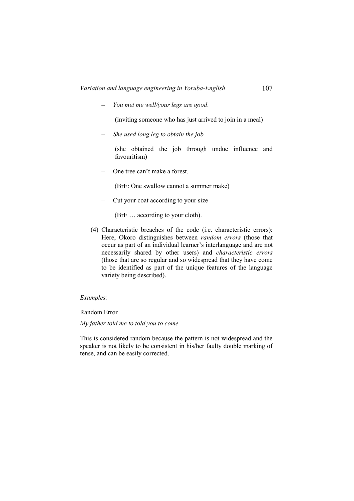– *You met me well/your legs are good*.

(inviting someone who has just arrived to join in a meal)

– *She used long leg to obtain the job* 

(she obtained the job through undue influence and favouritism)

– One tree can't make a forest.

(BrE: One swallow cannot a summer make)

– Cut your coat according to your size

(BrE … according to your cloth).

(4) Characteristic breaches of the code (i.e. characteristic errors): Here, Okoro distinguishes between *random errors* (those that occur as part of an individual learner's interlanguage and are not necessarily shared by other users) and *characteristic errors* (those that are so regular and so widespread that they have come to be identified as part of the unique features of the language variety being described).

# *Examples:*

#### Random Error

## *My father told me to told you to come.*

This is considered random because the pattern is not widespread and the speaker is not likely to be consistent in his/her faulty double marking of tense, and can be easily corrected.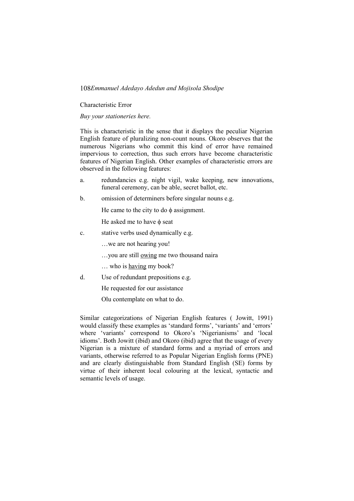Characteristic Error

*Buy your stationeries here.* 

This is characteristic in the sense that it displays the peculiar Nigerian English feature of pluralizing non-count nouns. Okoro observes that the numerous Nigerians who commit this kind of error have remained impervious to correction, thus such errors have become characteristic features of Nigerian English. Other examples of characteristic errors are observed in the following features:

- a. redundancies e.g. night vigil, wake keeping, new innovations, funeral ceremony, can be able, secret ballot, etc.
- b. omission of determiners before singular nouns e.g.

He came to the city to do  $\phi$  assignment.

He asked me to have  $\phi$  seat

- c. stative verbs used dynamically e.g.
	- …we are not hearing you!
	- …you are still owing me two thousand naira
	- … who is having my book?
- d. Use of redundant prepositions e.g.

He requested for our assistance

Olu contemplate on what to do.

Similar categorizations of Nigerian English features ( Jowitt, 1991) would classify these examples as 'standard forms', 'variants' and 'errors' where 'variants' correspond to Okoro's 'Nigerianisms' and 'local idioms'. Both Jowitt (ibid) and Okoro (ibid) agree that the usage of every Nigerian is a mixture of standard forms and a myriad of errors and variants, otherwise referred to as Popular Nigerian English forms (PNE) and are clearly distinguishable from Standard English (SE) forms by virtue of their inherent local colouring at the lexical, syntactic and semantic levels of usage.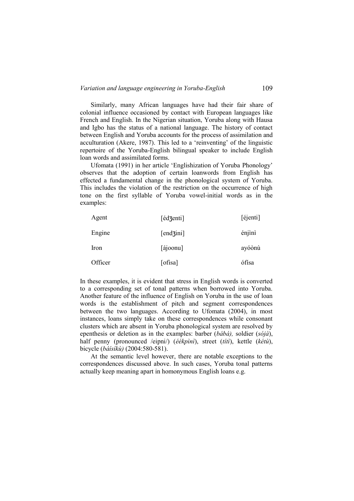Similarly, many African languages have had their fair share of colonial influence occasioned by contact with European languages like French and English. In the Nigerian situation, Yoruba along with Hausa and Igbo has the status of a national language. The history of contact between English and Yoruba accounts for the process of assimilation and acculturation (Akere, 1987). This led to a 'reinventing' of the linguistic repertoire of the Yoruba-English bilingual speaker to include English loan words and assimilated forms.

Ufomata (1991) in her article 'Englishization of Yoruba Phonology' observes that the adoption of certain loanwords from English has effected a fundamental change in the phonological system of Yoruba. This includes the violation of the restriction on the occurrence of high tone on the first syllable of Yoruba vowel-initial words as in the examples:

| Agent   | [édzenti]           | [éjenti] |
|---------|---------------------|----------|
| Engine  | $[end \overline{j}$ | énjini   |
| Iron    | [ájoonu]            | ayóònù   |
| Officer | [ofisa]             | ófísa    |

In these examples, it is evident that stress in English words is converted to a corresponding set of tonal patterns when borrowed into Yoruba. Another feature of the influence of English on Yoruba in the use of loan words is the establishment of pitch and segment correspondences between the two languages. According to Ufomata (2004), in most instances, loans simply take on these correspondences while consonant clusters which are absent in Yoruba phonological system are resolved by epenthesis or deletion as in the examples: barber (*bábá),* soldier (*sójà*), half penny (pronounced /eipni/) (*éékpìnì*), street (*títì*), kettle (*kétù*), bicycle (*báísíkù)* (2004:580-581).

At the semantic level however, there are notable exceptions to the correspondences discussed above. In such cases, Yoruba tonal patterns actually keep meaning apart in homonymous English loans e.g.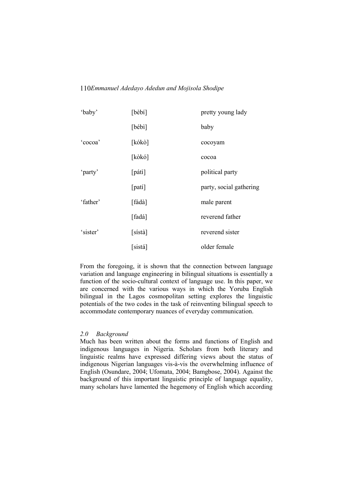| 'baby'   | [bèbí]  | pretty young lady       |
|----------|---------|-------------------------|
|          | [bébi]  | baby                    |
| 'cocoa'  | [kókò]  | cocoyam                 |
|          | [kòkó]  | cocoa                   |
| 'party'  | [pátì]  | political party         |
|          | [pati]  | party, social gathering |
| 'father' | [fádà]  | male parent             |
|          | [fadá]  | reverend father         |
| 'sister' | [sistà] | reverend sister         |
|          | [sistá] | older female            |

From the foregoing, it is shown that the connection between language variation and language engineering in bilingual situations is essentially a function of the socio-cultural context of language use. In this paper, we are concerned with the various ways in which the Yoruba English bilingual in the Lagos cosmopolitan setting explores the linguistic potentials of the two codes in the task of reinventing bilingual speech to accommodate contemporary nuances of everyday communication.

#### *2.0 Background*

Much has been written about the forms and functions of English and indigenous languages in Nigeria. Scholars from both literary and linguistic realms have expressed differing views about the status of indigenous Nigerian languages vis-à-vis the overwhelming influence of English (Osundare, 2004; Ufomata, 2004; Bamgbose, 2004). Against the background of this important linguistic principle of language equality, many scholars have lamented the hegemony of English which according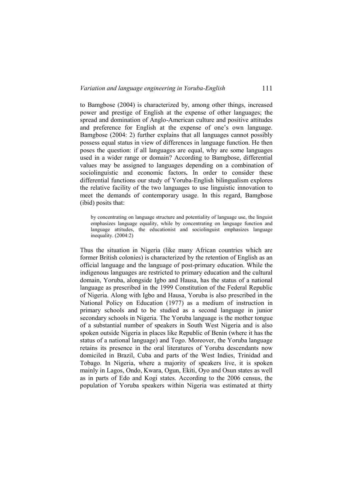to Bamgbose (2004) is characterized by, among other things, increased power and prestige of English at the expense of other languages; the spread and domination of Anglo-American culture and positive attitudes and preference for English at the expense of one's own language. Bamgbose (2004: 2) further explains that all languages cannot possibly possess equal status in view of differences in language function. He then poses the question: if all languages are equal, why are some languages used in a wider range or domain? According to Bamgbose, differential values may be assigned to languages depending on a combination of sociolinguistic and economic factors**.** In order to consider these differential functions our study of Yoruba-English bilingualism explores the relative facility of the two languages to use linguistic innovation to meet the demands of contemporary usage. In this regard, Bamgbose (ibid) posits that:

by concentrating on language structure and potentiality of language use, the linguist emphasizes language equality, while by concentrating on language function and language attitudes, the educationist and sociolinguist emphasizes language inequality. (2004:2)

Thus the situation in Nigeria (like many African countries which are former British colonies) is characterized by the retention of English as an official language and the language of post-primary education. While the indigenous languages are restricted to primary education and the cultural domain, Yoruba, alongside Igbo and Hausa, has the status of a national language as prescribed in the 1999 Constitution of the Federal Republic of Nigeria. Along with Igbo and Hausa, Yoruba is also prescribed in the National Policy on Education (1977) as a medium of instruction in primary schools and to be studied as a second language in junior secondary schools in Nigeria. The Yoruba language is the mother tongue of a substantial number of speakers in South West Nigeria and is also spoken outside Nigeria in places like Republic of Benin (where it has the status of a national language) and Togo. Moreover, the Yoruba language retains its presence in the oral literatures of Yoruba descendants now domiciled in Brazil, Cuba and parts of the West Indies, Trinidad and Tobago. In Nigeria, where a majority of speakers live, it is spoken mainly in Lagos, Ondo, Kwara, Ogun, Ekiti, Oyo and Osun states as well as in parts of Edo and Kogi states. According to the 2006 census, the population of Yoruba speakers within Nigeria was estimated at thirty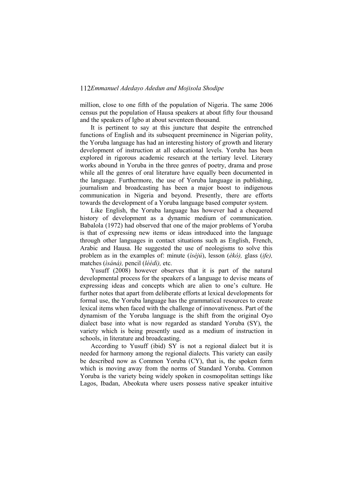million, close to one fifth of the population of Nigeria. The same 2006 census put the population of Hausa speakers at about fifty four thousand and the speakers of Igbo at about seventeen thousand.

It is pertinent to say at this juncture that despite the entrenched functions of English and its subsequent preeminence in Nigerian polity, the Yoruba language has had an interesting history of growth and literary development of instruction at all educational levels. Yoruba has been explored in rigorous academic research at the tertiary level. Literary works abound in Yoruba in the three genres of poetry, drama and prose while all the genres of oral literature have equally been documented in the language. Furthermore, the use of Yoruba language in publishing, journalism and broadcasting has been a major boost to indigenous communication in Nigeria and beyond. Presently, there are efforts towards the development of a Yoruba language based computer system.

Like English, the Yoruba language has however had a chequered history of development as a dynamic medium of communication. Babalola (1972) had observed that one of the major problems of Yoruba is that of expressing new items or ideas introduced into the language through other languages in contact situations such as English, French, Arabic and Hausa. He suggested the use of neologisms to solve this problem as in the examples of: minute (*ìséjú*), lesson (*èkó),* glass (*ife),* matches (*ìsáná),* pencil (*léèdì),* etc.

Yusuff (2008) however observes that it is part of the natural developmental process for the speakers of a language to devise means of expressing ideas and concepts which are alien to one's culture. He further notes that apart from deliberate efforts at lexical developments for formal use, the Yoruba language has the grammatical resources to create lexical items when faced with the challenge of innovativeness. Part of the dynamism of the Yoruba language is the shift from the original Oyo dialect base into what is now regarded as standard Yoruba (SY), the variety which is being presently used as a medium of instruction in schools, in literature and broadcasting.

According to Yusuff (ibid) SY is not a regional dialect but it is needed for harmony among the regional dialects. This variety can easily be described now as Common Yoruba (CY), that is, the spoken form which is moving away from the norms of Standard Yoruba. Common Yoruba is the variety being widely spoken in cosmopolitan settings like Lagos, Ibadan, Abeokuta where users possess native speaker intuitive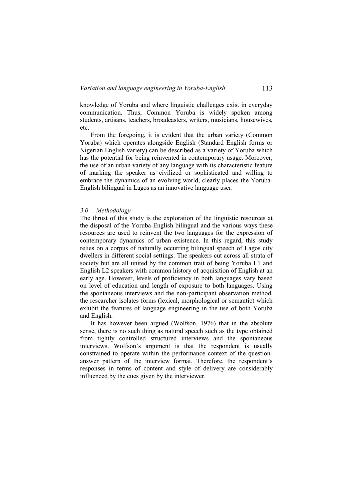knowledge of Yoruba and where linguistic challenges exist in everyday communication. Thus, Common Yoruba is widely spoken among students, artisans, teachers, broadcasters, writers, musicians, housewives, etc.

From the foregoing, it is evident that the urban variety (Common Yoruba) which operates alongside English (Standard English forms or Nigerian English variety) can be described as a variety of Yoruba which has the potential for being reinvented in contemporary usage. Moreover, the use of an urban variety of any language with its characteristic feature of marking the speaker as civilized or sophisticated and willing to embrace the dynamics of an evolving world, clearly places the Yoruba-English bilingual in Lagos as an innovative language user.

#### *3.0 Methodology*

The thrust of this study is the exploration of the linguistic resources at the disposal of the Yoruba-English bilingual and the various ways these resources are used to reinvent the two languages for the expression of contemporary dynamics of urban existence. In this regard, this study relies on a corpus of naturally occurring bilingual speech of Lagos city dwellers in different social settings. The speakers cut across all strata of society but are all united by the common trait of being Yoruba L1 and English L2 speakers with common history of acquisition of English at an early age. However, levels of proficiency in both languages vary based on level of education and length of exposure to both languages. Using the spontaneous interviews and the non-participant observation method, the researcher isolates forms (lexical, morphological or semantic) which exhibit the features of language engineering in the use of both Yoruba and English.

It has however been argued (Wolfson, 1976) that in the absolute sense, there is no such thing as natural speech such as the type obtained from tightly controlled structured interviews and the spontaneous interviews. Wolfson's argument is that the respondent is usually constrained to operate within the performance context of the questionanswer pattern of the interview format. Therefore, the respondent's responses in terms of content and style of delivery are considerably influenced by the cues given by the interviewer.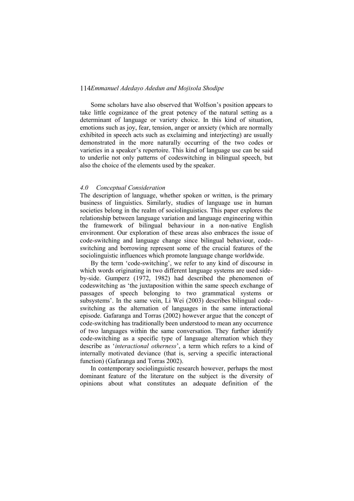Some scholars have also observed that Wolfson's position appears to take little cognizance of the great potency of the natural setting as a determinant of language or variety choice. In this kind of situation, emotions such as joy, fear, tension, anger or anxiety (which are normally exhibited in speech acts such as exclaiming and interjecting) are usually demonstrated in the more naturally occurring of the two codes or varieties in a speaker's repertoire. This kind of language use can be said to underlie not only patterns of codeswitching in bilingual speech, but also the choice of the elements used by the speaker.

#### *4.0 Conceptual Consideration*

The description of language, whether spoken or written, is the primary business of linguistics. Similarly, studies of language use in human societies belong in the realm of sociolinguistics. This paper explores the relationship between language variation and language engineering within the framework of bilingual behaviour in a non-native English environment. Our exploration of these areas also embraces the issue of code-switching and language change since bilingual behaviour, codeswitching and borrowing represent some of the crucial features of the sociolinguistic influences which promote language change worldwide.

By the term 'code-switching', we refer to any kind of discourse in which words originating in two different language systems are used sideby-side. Gumperz (1972, 1982) had described the phenomenon of codeswitching as 'the juxtaposition within the same speech exchange of passages of speech belonging to two grammatical systems or subsystems'. In the same vein, Li Wei (2003) describes bilingual codeswitching as the alternation of languages in the same interactional episode. Gafaranga and Torras (2002) however argue that the concept of code-switching has traditionally been understood to mean any occurrence of two languages within the same conversation. They further identify code-switching as a specific type of language alternation which they describe as 'interactional otherness', a term which refers to a kind of internally motivated deviance (that is, serving a specific interactional function) (Gafaranga and Torras 2002).

In contemporary sociolinguistic research however, perhaps the most dominant feature of the literature on the subject is the diversity of opinions about what constitutes an adequate definition of the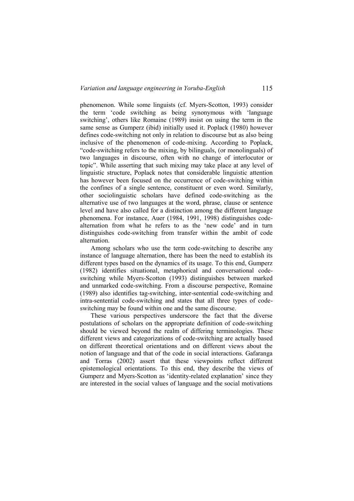phenomenon. While some linguists (cf. Myers-Scotton, 1993) consider the term 'code switching as being synonymous with 'language switching', others like Romaine (1989) insist on using the term in the same sense as Gumperz (ibid) initially used it. Poplack (1980) however defines code-switching not only in relation to discourse but as also being inclusive of the phenomenon of code-mixing. According to Poplack, ―code-switching refers to the mixing, by bilinguals, (or monolinguals) of two languages in discourse, often with no change of interlocutor or topic‖. While asserting that such mixing may take place at any level of linguistic structure, Poplack notes that considerable linguistic attention has however been focused on the occurrence of code-switching within the confines of a single sentence, constituent or even word. Similarly, other sociolinguistic scholars have defined code-switching as the alternative use of two languages at the word, phrase, clause or sentence level and have also called for a distinction among the different language phenomena. For instance, Auer (1984, 1991, 1998) distinguishes codealternation from what he refers to as the 'new code' and in turn distinguishes code-switching from transfer within the ambit of code alternation.

Among scholars who use the term code-switching to describe any instance of language alternation, there has been the need to establish its different types based on the dynamics of its usage. To this end, Gumperz (1982) identifies situational, metaphorical and conversational codeswitching while Myers-Scotton (1993) distinguishes between marked and unmarked code-switching. From a discourse perspective, Romaine (1989) also identifies tag-switching, inter-sentential code-switching and intra-sentential code-switching and states that all three types of codeswitching may be found within one and the same discourse.

These various perspectives underscore the fact that the diverse postulations of scholars on the appropriate definition of code-switching should be viewed beyond the realm of differing terminologies. These different views and categorizations of code-switching are actually based on different theoretical orientations and on different views about the notion of language and that of the code in social interactions. Gafaranga and Torras (2002) assert that these viewpoints reflect different epistemological orientations. To this end, they describe the views of Gumperz and Myers-Scotton as 'identity-related explanation' since they are interested in the social values of language and the social motivations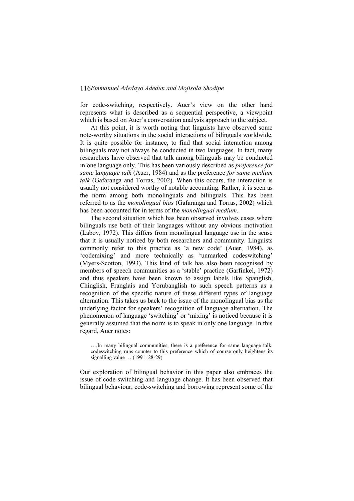for code-switching, respectively. Auer's view on the other hand represents what is described as a sequential perspective, a viewpoint which is based on Auer's conversation analysis approach to the subject.

At this point, it is worth noting that linguists have observed some note-worthy situations in the social interactions of bilinguals worldwide. It is quite possible for instance, to find that social interaction among bilinguals may not always be conducted in two languages. In fact, many researchers have observed that talk among bilinguals may be conducted in one language only. This has been variously described as *preference for same* l*anguage talk* (Auer, 1984) and as the preference *for same medium talk* (Gafaranga and Torras, 2002). When this occurs, the interaction is usually not considered worthy of notable accounting. Rather, it is seen as the norm among both monolinguals and bilinguals. This has been referred to as the *monolingual bias* (Gafaranga and Torras, 2002) which has been accounted for in terms of the *monolingual medium*.

The second situation which has been observed involves cases where bilinguals use both of their languages without any obvious motivation (Labov, 1972). This differs from monolingual language use in the sense that it is usually noticed by both researchers and community. Linguists commonly refer to this practice as 'a new code' (Auer, 1984), as ‗codemixing' and more technically as ‗unmarked codeswitching' (Myers-Scotton, 1993). This kind of talk has also been recognised by members of speech communities as a 'stable' practice (Garfinkel, 1972) and thus speakers have been known to assign labels like Spanglish, Chinglish, Franglais and Yorubanglish to such speech patterns as a recognition of the specific nature of these different types of language alternation. This takes us back to the issue of the monolingual bias as the underlying factor for speakers' recognition of language alternation. The phenomenon of language 'switching' or 'mixing' is noticed because it is generally assumed that the norm is to speak in only one language. In this regard, Auer notes:

Our exploration of bilingual behavior in this paper also embraces the issue of code-switching and language change. It has been observed that bilingual behaviour, code-switching and borrowing represent some of the

<sup>….</sup>In many bilingual communities, there is a preference for same language talk, codeswitching runs counter to this preference which of course only heightens its signalling value … (1991: 28-29)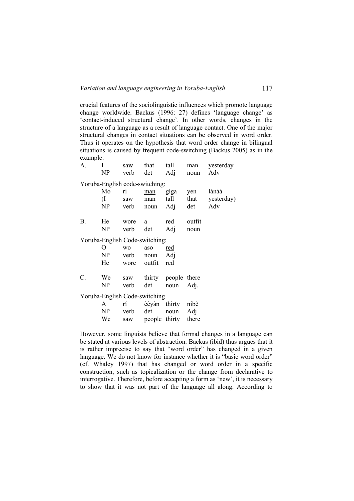crucial features of the sociolinguistic influences which promote language change worldwide. Backus (1996: 27) defines 'language change' as ‗contact-induced structural change'. In other words, changes in the structure of a language as a result of language contact. One of the major structural changes in contact situations can be observed in word order. Thus it operates on the hypothesis that word order change in bilingual situations is caused by frequent code-switching (Backus 2005) as in the example:

| A. | L<br>NP                        | saw            | that<br>verb det        | tall<br>Adj | man<br>noun | yesterday<br>Adv |
|----|--------------------------------|----------------|-------------------------|-------------|-------------|------------------|
|    | Yoruba-English code-switching: |                |                         |             |             |                  |
|    | Mo                             | rí             | man                     | gíga        | yen         | lánàá            |
|    | $\left( \Gamma \right)$        | saw            | man                     | tall        |             | that yesterday)  |
|    | NP                             | verb           | noun                    | Adj         | det         | Adv              |
| В. | He                             | wore           | a                       | red         | outfit      |                  |
|    | NP                             | verb           | det                     | Adj         | noun        |                  |
|    | Yoruba-English Code-switching: |                |                         |             |             |                  |
|    | O                              | W <sub>O</sub> | aso                     | <u>red</u>  |             |                  |
|    | NP                             | verb           | noun                    | Adj         |             |                  |
|    | He                             | wore outfit    |                         | red         |             |                  |
| C. | We                             |                | saw thirty people there |             |             |                  |
|    | NP                             | verb           | det                     | noun        | Adj.        |                  |
|    | Yoruba-English Code-switching  |                |                         |             |             |                  |
|    | A                              | rí             | èèyàn thirty            |             | níbè        |                  |
|    | NP                             | verb           | det                     | noun        | Adj         |                  |
|    | We                             |                | saw people thirty       |             | there       |                  |

However, some linguists believe that formal changes in a language can be stated at various levels of abstraction. Backus (ibid) thus argues that it is rather imprecise to say that "word order" has changed in a given language. We do not know for instance whether it is "basic word order" (cf. Whaley 1997) that has changed or word order in a specific construction, such as topicalization or the change from declarative to interrogative. Therefore, before accepting a form as 'new', it is necessary to show that it was not part of the language all along. According to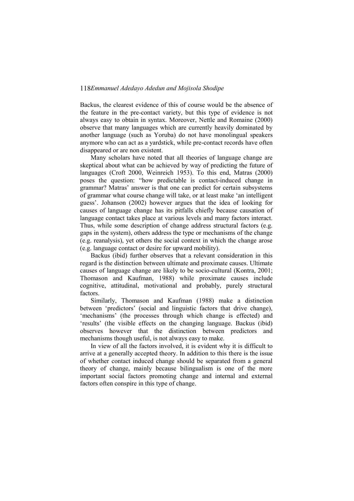Backus, the clearest evidence of this of course would be the absence of the feature in the pre-contact variety, but this type of evidence is not always easy to obtain in syntax. Moreover, Nettle and Romaine (2000) observe that many languages which are currently heavily dominated by another language (such as Yoruba) do not have monolingual speakers anymore who can act as a yardstick, while pre-contact records have often disappeared or are non existent.

Many scholars have noted that all theories of language change are skeptical about what can be achieved by way of predicting the future of languages (Croft 2000, Weinreich 1953). To this end, Matras (2000) poses the question: "how predictable is contact-induced change in grammar? Matras' answer is that one can predict for certain subsystems of grammar what course change will take, or at least make ‗an intelligent guess'. Johanson (2002) however argues that the idea of looking for causes of language change has its pitfalls chiefly because causation of language contact takes place at various levels and many factors interact. Thus, while some description of change address structural factors (e.g. gaps in the system), others address the type or mechanisms of the change (e.g. reanalysis), yet others the social context in which the change arose (e.g. language contact or desire for upward mobility).

Backus (ibid) further observes that a relevant consideration in this regard is the distinction between ultimate and proximate causes. Ultimate causes of language change are likely to be socio-cultural (Kontra, 2001; Thomason and Kaufman, 1988) while proximate causes include cognitive, attitudinal, motivational and probably, purely structural factors.

Similarly, Thomason and Kaufman (1988) make a distinction between 'predictors' (social and linguistic factors that drive change), ‗mechanisms' (the processes through which change is effected) and ‗results' (the visible effects on the changing language. Backus (ibid) observes however that the distinction between predictors and mechanisms though useful, is not always easy to make.

In view of all the factors involved, it is evident why it is difficult to arrive at a generally accepted theory. In addition to this there is the issue of whether contact induced change should be separated from a general theory of change, mainly because bilingualism is one of the more important social factors promoting change and internal and external factors often conspire in this type of change.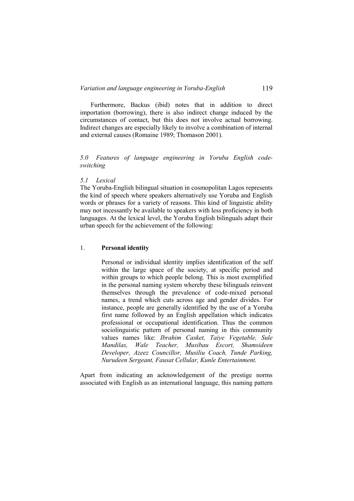Furthermore, Backus (ibid) notes that in addition to direct importation (borrowing), there is also indirect change induced by the circumstances of contact, but this does not involve actual borrowing. Indirect changes are especially likely to involve a combination of internal and external causes (Romaine 1989; Thomason 2001).

*5.0 Features of language engineering in Yoruba English codeswitching*

# *5.1 Lexical*

The Yoruba-English bilingual situation in cosmopolitan Lagos represents the kind of speech where speakers alternatively use Yoruba and English words or phrases for a variety of reasons. This kind of linguistic ability may not incessantly be available to speakers with less proficiency in both languages. At the lexical level, the Yoruba English bilinguals adapt their urban speech for the achievement of the following:

## 1. **Personal identity**

Personal or individual identity implies identification of the self within the large space of the society, at specific period and within groups to which people belong. This is most exemplified in the personal naming system whereby these bilinguals reinvent themselves through the prevalence of code-mixed personal names, a trend which cuts across age and gender divides. For instance, people are generally identified by the use of a Yoruba first name followed by an English appellation which indicates professional or occupational identification. Thus the common sociolinguistic pattern of personal naming in this community values names like: *Ibrahim Casket, Taiye Vegetable, Sule Mandilas, Wale Teacher, Musibau Escort, Shamsideen Developer, Azeez Councillor, Musiliu Coach, Tunde Parking, Nurudeen Sergeant, Fausat Cellular, Kunle Entertainment.*

Apart from indicating an acknowledgement of the prestige norms associated with English as an international language, this naming pattern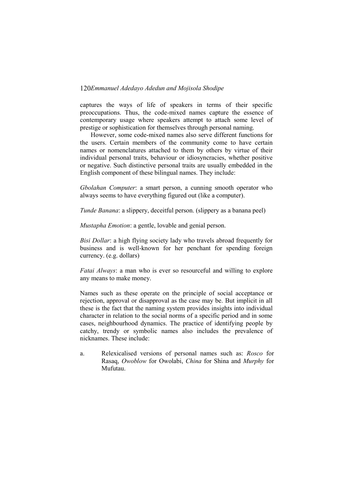captures the ways of life of speakers in terms of their specific preoccupations. Thus, the code-mixed names capture the essence of contemporary usage where speakers attempt to attach some level of prestige or sophistication for themselves through personal naming.

However, some code-mixed names also serve different functions for the users. Certain members of the community come to have certain names or nomenclatures attached to them by others by virtue of their individual personal traits, behaviour or idiosyncracies, whether positive or negative. Such distinctive personal traits are usually embedded in the English component of these bilingual names. They include:

*Gbolahan Computer*: a smart person, a cunning smooth operator who always seems to have everything figured out (like a computer).

*Tunde Banana*: a slippery, deceitful person. (slippery as a banana peel)

*Mustapha Emotion*: a gentle, lovable and genial person.

*Bisi Dollar*: a high flying society lady who travels abroad frequently for business and is well-known for her penchant for spending foreign currency. (e.g. dollars)

*Fatai Always*: a man who is ever so resourceful and willing to explore any means to make money.

Names such as these operate on the principle of social acceptance or rejection, approval or disapproval as the case may be. But implicit in all these is the fact that the naming system provides insights into individual character in relation to the social norms of a specific period and in some cases, neighbourhood dynamics. The practice of identifying people by catchy, trendy or symbolic names also includes the prevalence of nicknames. These include:

a. Relexicalised versions of personal names such as: *Rosco* for Rasaq, *Owoblow* for Owolabi, *China* for Shina and *Murphy* for Mufutau.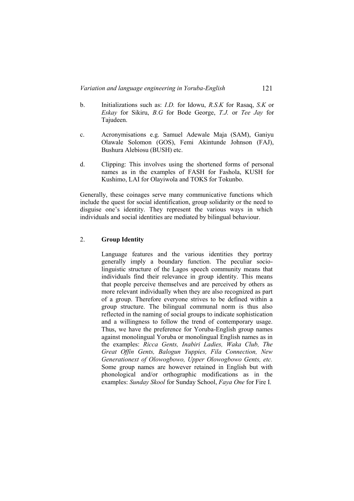- b. Initializations such as: *I.D.* for Idowu, *R.S.K* for Rasaq, *S.K* or *Eskay* for Sikiru, *B.G* for Bode George, *T.J.* or *Tee Jay* for Tajudeen.
- c. Acronymisations e.g. Samuel Adewale Maja (SAM), Ganiyu Olawale Solomon (GOS), Femi Akintunde Johnson (FAJ), Bushura Alebiosu (BUSH) etc.
- d. Clipping: This involves using the shortened forms of personal names as in the examples of FASH for Fashola, KUSH for Kushimo, LAI for Olayiwola and TOKS for Tokunbo.

Generally, these coinages serve many communicative functions which include the quest for social identification, group solidarity or the need to disguise one's identity. They represent the various ways in which individuals and social identities are mediated by bilingual behaviour.

# 2. **Group Identity**

Language features and the various identities they portray generally imply a boundary function. The peculiar sociolinguistic structure of the Lagos speech community means that individuals find their relevance in group identity. This means that people perceive themselves and are perceived by others as more relevant individually when they are also recognized as part of a group. Therefore everyone strives to be defined within a group structure. The bilingual communal norm is thus also reflected in the naming of social groups to indicate sophistication and a willingness to follow the trend of contemporary usage. Thus, we have the preference for Yoruba-English group names against monolingual Yoruba or monolingual English names as in the examples: *Ricca Gents, Inabiri Ladies, Waka Club, The Great Offin Gents, Balogun Yuppies, Fila Connection, New Generationext of Olowogbowo, Upper Olowogbowo Gents, etc.* Some group names are however retained in English but with phonological and/or orthographic modifications as in the examples: *Sunday Skool* for Sunday School, *Faya One* for Fire I.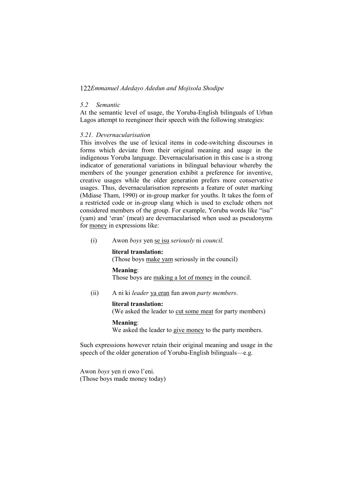### *5.2 Semantic*

At the semantic level of usage, the Yoruba-English bilinguals of Urban Lagos attempt to reengineer their speech with the following strategies:

### *5.21. Devernacularisation*

This involves the use of lexical items in code-switching discourses in forms which deviate from their original meaning and usage in the indigenous Yoruba language. Devernacularisation in this case is a strong indicator of generational variations in bilingual behaviour whereby the members of the younger generation exhibit a preference for inventive, creative usages while the older generation prefers more conservative usages. Thus, devernacularisation represents a feature of outer marking (Mdiase Tham, 1990) or in-group marker for youths. It takes the form of a restricted code or in-group slang which is used to exclude others not considered members of the group. For example, Yoruba words like "isu" (yam) and 'eran' (meat) are devernacularised when used as pseudonyms for money in expressions like:

(i) Awon *boys* yen se isu *seriously* ni *council.*

### **literal translation:**

(Those boys make yam seriously in the council)

## **Meaning**:

Those boys are making a lot of money in the council.

(ii) A ni ki *leader* ya eran fun awon *party members*.

#### **literal translation:**

(We asked the leader to cut some meat for party members)

## **Meaning**:

We asked the leader to give money to the party members.

Such expressions however retain their original meaning and usage in the speech of the older generation of Yoruba-English bilinguals—e.g.

Awon *boys* yen ri owo l'eni. (Those boys made money today)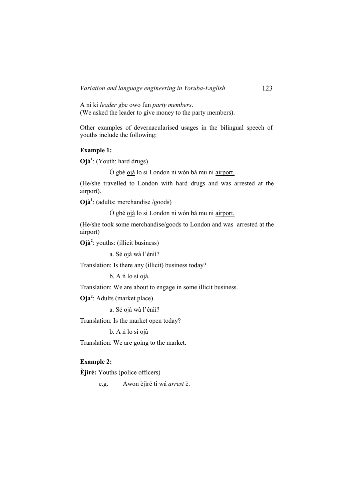A ni ki *leader* gbe owo fun *party members*. (We asked the leader to give money to the party members).

Other examples of devernacularised usages in the bilingual speech of youths include the following:

### **Example 1:**

**Ojà<sup>1</sup>** : (Youth: hard drugs)

Ó gbé ojà lo si London ni wón bá mu ni airport.

(He/she travelled to London with hard drugs and was arrested at the airport).

**Ojà<sup>1</sup>** : (adults: merchandise /goods)

Ó gbé ojà lo si London ni wón bá mu ni airport.

(He/she took some merchandise/goods to London and was arrested at the airport)

**Ojà<sup>2</sup>** : youths: (illicit business)

a. Sé ojà wà l'énìí?

Translation: Is there any (illicit) business today?

b. A ń lo sí ojà.

Translation: We are about to engage in some illicit business.

**Oja<sup>2</sup>** : Adults (market place)

a. Sé ojà wà l'énìí?

Translation: Is the market open today?

b. A ń lo sí ojà

Translation: We are going to the market.

# **Example 2:**

**Èjìré:** Youths (police officers)

e.g. Awon èjìré ti wá *arrest* è.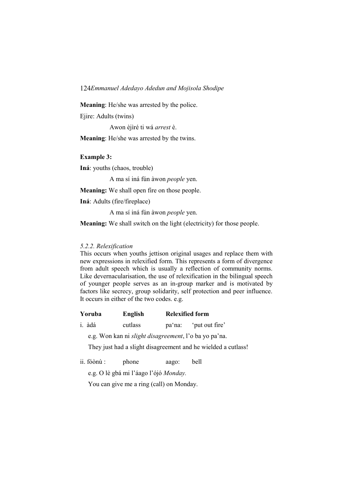**Meaning**: He/she was arrested by the police.

Ejire: Adults (twins)

Awon èjìré ti wá *arrest* è.

**Meaning**: He/she was arrested by the twins.

## **Example 3:**

**Iná**: youths (chaos, trouble)

A ma sí iná fún àwon *people* yen.

**Meaning:** We shall open fire on those people.

**Iná**: Adults (fire/fireplace)

A ma sí iná fún àwon *people* yen.

**Meaning:** We shall switch on the light (electricity) for those people.

#### *5.2.2. Relexification*

This occurs when youths jettison original usages and replace them with new expressions in relexified form. This represents a form of divergence from adult speech which is usually a reflection of community norms. Like devernacularisation, the use of relexification in the bilingual speech of younger people serves as an in-group marker and is motivated by factors like secrecy, group solidarity, self protection and peer influence. It occurs in either of the two codes. e.g.

#### **Yoruba English Relexified form**

| 'put out fire'<br>i. àdá<br>cutlass<br>pa'na: |  |
|-----------------------------------------------|--|
|-----------------------------------------------|--|

e.g. Won kan ni *slight disagreement*, l'o ba yo pa'na.

They just had a slight disagreement and he wielded a cutlass!

ii. fóònù : phone aago: bell

e.g. O lè gbá mi l'áago l'ójó *Monday.*

You can give me a ring (call) on Monday.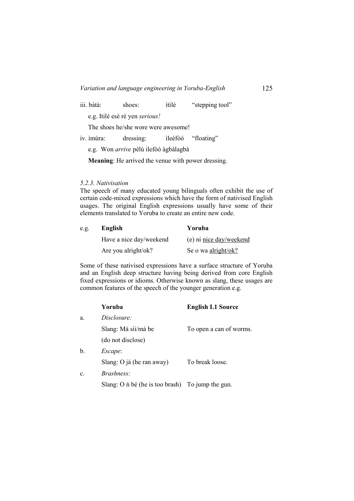iii. bàtà: shoes: itìlè "stepping tool"

e.g. Itilè esè rè yen *serious!*

The shoes he/she wore were awesome!

iv. ìmúra: dressing: ìleéfòó "floating"

e.g. Won *arrive* pèlú ilefòó àgbàlagbà

**Meaning**: He arrived the venue with power dressing.

## *5.2.3. Nativisation*

The speech of many educated young bilinguals often exhibit the use of certain code-mixed expressions which have the form of nativised English usages. The original English expressions usually have some of their elements translated to Yoruba to create an entire new code.

| e.g. | English                 | Yoruba                  |
|------|-------------------------|-------------------------|
|      | Have a nice day/weekend | (e) ni nice day/weekend |
|      | Are you alright/ok?     | Se o wa alright/ok?     |

Some of these nativised expressions have a surface structure of Yoruba and an English deep structure having being derived from core English fixed expressions or idioms. Otherwise known as slang, these usages are common features of the speech of the younger generation e.g.

|    | Yoruba                                                     | <b>English L1 Source</b> |
|----|------------------------------------------------------------|--------------------------|
| a. | Disclosure:                                                |                          |
|    | Slang: Má síi/má be                                        | To open a can of worms.  |
|    | (do not disclose)                                          |                          |
| b. | Escape:                                                    |                          |
|    | Slang: O já (he ran away)                                  | To break loose.          |
| c. | <i>Brashness:</i>                                          |                          |
|    | Slang: O $\acute{n}$ bé (he is too brash) To jump the gun. |                          |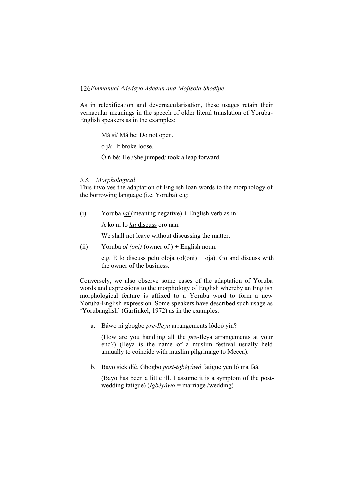As in relexification and devernacularisation, these usages retain their vernacular meanings in the speech of older literal translation of Yoruba-English speakers as in the examples:

Má si/ Má be: Do not open.

ó já: It broke loose.

Ó ń bé: He /She jumped/ took a leap forward.

## *5.3. Morphological*

This involves the adaptation of English loan words to the morphology of the borrowing language (i.e. Yoruba) e.g:

(i) Yoruba *lai* (meaning negative) + English verb as in:

A ko ni lo *lai* discuss oro naa.

We shall not leave without discussing the matter.

(ii) Yoruba *ol (oni)* (owner of ) + English noun.

e.g. E lo discuss pelu oloja (ol(oni) + oja). Go and discuss with the owner of the business.

Conversely, we also observe some cases of the adaptation of Yoruba words and expressions to the morphology of English whereby an English morphological feature is affixed to a Yoruba word to form a new Yoruba-English expression. Some speakers have described such usage as ‗Yorubanglish' (Garfinkel, 1972) as in the examples:

a. Báwo ni gbogbo *pre*-*Ileya* arrangements lódoò yín?

(How are you handling all the *pre*-Ileya arrangements at your end?) (Ileya is the name of a muslim festival usually held annually to coincide with muslim pilgrimage to Mecca).

b. Bayo sick díè. Gbogbo *post*-*igbéyàwó* fatigue yen ló ma fàá.

(Bayo has been a little ill. I assume it is a symptom of the postwedding fatigue) (*Igbéyàwó* = marriage /wedding)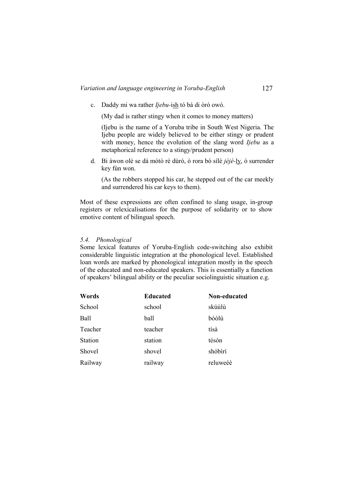c. Daddy mi wa rather *Ijebu-*ish tó bá di òrò owó.

(My dad is rather stingy when it comes to money matters)

(Ijebu is the name of a Yoruba tribe in South West Nigeria. The Ijebu people are widely believed to be either stingy or prudent with money, hence the evolution of the slang word *Ijebu* as a metaphorical reference to a stingy/prudent person)

d. Bi àwon olè se dá mótò rè dúró, ó rora bó sílè *jéjé-*ly, ó surrender key fún won.

(As the robbers stopped his car, he stepped out of the car meekly and surrendered his car keys to them).

Most of these expressions are often confined to slang usage, in-group registers or relexicalisations for the purpose of solidarity or to show emotive content of bilingual speech.

# *5.4. Phonological*

Some lexical features of Yoruba-English code-switching also exhibit considerable linguistic integration at the phonological level. Established loan words are marked by phonological integration mostly in the speech of the educated and non-educated speakers. This is essentially a function of speakers' bilingual ability or the peculiar sociolinguistic situation e.g.

| Words          | <b>Educated</b> | Non-educated |
|----------------|-----------------|--------------|
| School         | school          | skúùlù       |
| Ball           | ball            | bóòlù        |
| Teacher        | teacher         | tísà         |
| <b>Station</b> | station         | tésòn        |
| Shovel         | shovel          | shóbìrì      |
| Railway        | railway         | reluweéè     |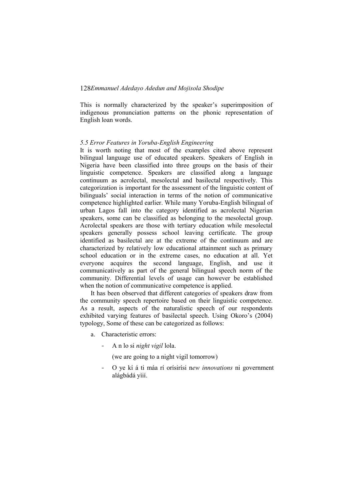This is normally characterized by the speaker's superimposition of indigenous pronunciation patterns on the phonic representation of English loan words.

## *5.5 Error Features in Yoruba-English Engineering*

It is worth noting that most of the examples cited above represent bilingual language use of educated speakers. Speakers of English in Nigeria have been classified into three groups on the basis of their linguistic competence. Speakers are classified along a language continuum as acrolectal, mesolectal and basilectal respectively. This categorization is important for the assessment of the linguistic content of bilinguals' social interaction in terms of the notion of communicative competence highlighted earlier. While many Yoruba-English bilingual of urban Lagos fall into the category identified as acrolectal Nigerian speakers, some can be classified as belonging to the mesolectal group. Acrolectal speakers are those with tertiary education while mesolectal speakers generally possess school leaving certificate. The group identified as basilectal are at the extreme of the continuum and are characterized by relatively low educational attainment such as primary school education or in the extreme cases, no education at all. Yet everyone acquires the second language, English, and use it communicatively as part of the general bilingual speech norm of the community. Differential levels of usage can however be established when the notion of communicative competence is applied.

It has been observed that different categories of speakers draw from the community speech repertoire based on their linguistic competence. As a result, aspects of the naturalistic speech of our respondents exhibited varying features of basilectal speech. Using Okoro's (2004) typology, Some of these can be categorized as follows:

- a. Characteristic errors:
	- A n lo si *night vigil* lola.

(we are going to a night vigil tomorrow)

- O ye kí á ti máa rí orísirísi n*ew innovations* ni government alágbádá yìií.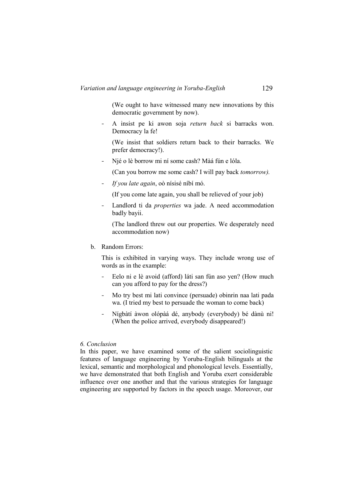(We ought to have witnessed many new innovations by this democratic government by now).

- A insist pe ki awon soja *return back* si barracks won. Democracy la fe!

(We insist that soldiers return back to their barracks. We prefer democracy!).

- Njé o lè borrow mi ní some cash? Màá fún e lóla.

(Can you borrow me some cash? I will pay back *tomorrow).*

- *If you late again*, oò nísisé níbí mó.

(If you come late again, you shall be relieved of your job)

- Landlord ti da *properties* wa jade. A need accommodation badly bayii.

(The landlord threw out our properties. We desperately need accommodation now)

b. Random Errors:

This is exhibited in varying ways. They include wrong use of words as in the example:

- Eelo ni e lè avoid (afford) láti san fún aso yen? (How much can you afford to pay for the dress?)
- Mo try best mi lati convince (persuade) obinrin naa lati pada wa. (I tried my best to persuade the woman to come back)
- Nígbàtí àwon olópàá dé, anybody (everybody) bé dànù ni! (When the police arrived, everybody disappeared!)

# *6. Conclusion*

In this paper, we have examined some of the salient sociolinguistic features of language engineering by Yoruba-English bilinguals at the lexical, semantic and morphological and phonological levels. Essentially, we have demonstrated that both English and Yoruba exert considerable influence over one another and that the various strategies for language engineering are supported by factors in the speech usage. Moreover, our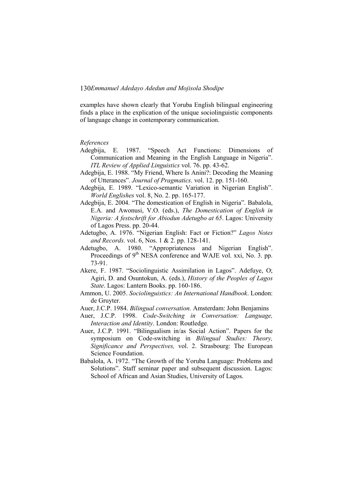examples have shown clearly that Yoruba English bilingual engineering finds a place in the explication of the unique sociolinguistic components of language change in contemporary communication.

#### *References*

- Adegbija, E. 1987. 
"Speech Act Functions: Dimensions of Communication and Meaning in the English Language in Nigeria". *ITL Review of Applied Linguistics* vol. 76. pp. 43-62.
- Adegbija, E. 1988. "My Friend, Where Is Anini?: Decoding the Meaning of Utterances‖. *Journal of Pragmatics*. vol. 12. pp. 151-160.
- Adegbija, E. 1989. "Lexico-semantic Variation in Nigerian English". *World Englishes* vol. 8, No. 2. pp. 165-177.
- Adegbija, E. 2004. "The domestication of English in Nigeria". Babalola, E.A. and Awonusi, V.O. (eds.), *The Domestication of English in Nigeria: A festschrift for Abiodun Adetugbo at 65*. Lagos: University of Lagos Press. pp. 20-44.
- Adetugbo, A. 1976. "Nigerian English: Fact or Fiction?" *Lagos Notes and Records.* vol. 6, Nos. 1 & 2. pp. 128-141.
- Adetugbo, A. 1980. "Appropriateness and Nigerian English". Proceedings of 9<sup>th</sup> NESA conference and WAJE vol. xxi, No. 3. pp. 73-91.
- Akere, F. 1987. "Sociolinguistic Assimilation in Lagos". Adefuye, O. Agiri, D. and Osuntokun, A. (eds.), *History of the Peoples of Lagos State*. Lagos: Lantern Books. pp. 160-186.
- Ammon, U. 2005. *Sociolinguistics: An International Handbook*. London: de Gruyter.
- Auer, J.C.P. 1984. *Bilingual conversation.* Amsterdam: John Benjamins
- Auer, J.C.P. 1998. *Code-Switching in Conversation: Language, Interaction and Identity*. London: Routledge.
- Auer, J.C.P. 1991. "Bilingualism in/as Social Action". Papers for the symposium on Code-switching in *Bilingual Studies: Theory, Significance and Perspectives,* vol. 2. Strasbourg: The European Science Foundation.
- Babalola, A. 1972. "The Growth of the Yoruba Language: Problems and Solutions". Staff seminar paper and subsequent discussion. Lagos: School of African and Asian Studies, University of Lagos.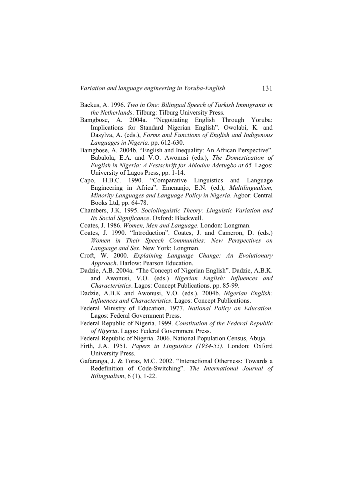- Backus, A. 1996. *Two in One: Bilingual Speech of Turkish Immigrants in the Netherlands*. Tilburg: Tilburg University Press.
- Bamgbose, A. 2004a. "Negotiating English Through Yoruba: Implications for Standard Nigerian English". Owolabi, K. and Dasylva, A. (eds.), *Forms and Functions of English and Indigenous Languages in Nigeria.* pp. 612-630.
- Bamgbose, A. 2004b. "English and Inequality: An African Perspective". Babalola, E.A. and V.O. Awonusi (eds.), *The Domestication of English in Nigeria: A Festschrift for Abiodun Adetugbo at 65.* Lagos: University of Lagos Press, pp. 1-14.
- Capo, H.B.C. 1990. "Comparative Linguistics and Language Engineering in Africa". Emenanjo, E.N. (ed.), *Multilingualism*, *Minority Languages and Language Policy in Nigeria*. Agbor: Central Books Ltd, pp. 64-78.
- Chambers, J.K. 1995. *Sociolinguistic Theory: Linguistic Variation and Its Social Significance*. Oxford: Blackwell.
- Coates, J. 1986. *Women, Men and Language*. London: Longman.
- Coates, J. 1990. "Introduction". Coates, J. and Cameron, D. (eds.) *Women in Their Speech Communities: New Perspectives on Language and Sex*. New York: Longman.
- Croft, W. 2000. *Explaining Language Change: An Evolutionary Approach*. Harlow: Pearson Education.
- Dadzie, A.B. 2004a. "The Concept of Nigerian English". Dadzie, A.B.K. and Awonusi, V.O. (eds.) *Nigerian English: Influences and Characteristics*. Lagos: Concept Publications. pp. 85-99.
- Dadzie, A.B.K and Awonusi, V.O. (eds.). 2004b. *Nigerian English: Influences and Characteristics*. Lagos: Concept Publications.
- Federal Ministry of Education. 1977. *National Policy on Education*. Lagos: Federal Government Press.
- Federal Republic of Nigeria. 1999. *Constitution of the Federal Republic of Nigeria*. Lagos: Federal Government Press.
- Federal Republic of Nigeria. 2006. National Population Census, Abuja.
- Firth, J.A. 1951. *Papers in Linguistics (1934-55).* London: Oxford University Press.
- Gafaranga, J. & Toras, M.C. 2002. "Interactional Otherness: Towards a Redefinition of Code-Switching". *The International Journal of Bilingualism*, 6 (1), 1-22.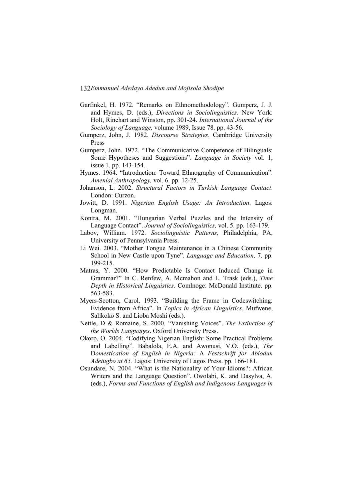- Garfinkel, H. 1972. "Remarks on Ethnomethodology". Gumperz, J. J. and Hymes, D. (eds.), *Directions in Sociolinguistics*. New York: Holt, Rinehart and Winston, pp. 301-24. *International Journal of the Sociology of Language,* volume 1989, Issue 78. pp. 43-56.
- Gumperz, John, J. 1982. *Discourse* S*trategies*. Cambridge University Press
- Gumperz, John. 1972. "The Communicative Competence of Bilinguals: Some Hypotheses and Suggestions". *Language in Society* vol. 1, issue 1. pp. 143-154.
- Hymes. 1964. "Introduction: Toward Ethnography of Communication". *Amenial Anthropology,* vol. 6. pp. 12-25.
- Johanson, L. 2002. *Structural Factors in Turkish Language Contact*. London: Curzon.
- Jowitt, D. 1991. *Nigerian English Usage: An Introduction*. Lagos: Longman.
- Kontra, M. 2001. "Hungarian Verbal Puzzles and the Intensity of Language Contact". *Journal of Sociolinguistics*, vol. 5. pp. 163-179.
- Labov, William. 1972. *Sociolinguistic Patterns,* Philadelphia, PA, University of Pennsylvania Press.
- Li Wei. 2003. "Mother Tongue Maintenance in a Chinese Community School in New Castle upon Tyne". *Language and Education*, 7. pp. 199-215.
- Matras, Y. 2000. "How Predictable Is Contact Induced Change in Grammar?‖ In C. Renfew, A. Mcmahon and L. Trask (eds.), *Time Depth in Historical Linguistics*. Comlnoge: McDonald Institute. pp. 563-583.
- Myers-Scotton, Carol. 1993. "Building the Frame in Codeswitching: Evidence from Africa‖. In *Topics in African Linguistics*, Mufwene, Salikoko S. and Lioba Moshi (eds.).
- Nettle, D & Romaine, S. 2000. "Vanishing Voices". *The Extinction of the Worlds Languages*. Oxford University Press.
- Okoro, O. 2004. "Codifying Nigerian English: Some Practical Problems and Labelling". Babalola, E.A. and Awonusi, V.O. (eds.), *The* D*omestication of English in Nigeria:* A *Festschrift for Abiodun Adetugbo at 65.* Lagos: University of Lagos Press. pp. 166-181.
- Osundare, N. 2004. "What is the Nationality of Your Idioms?: African Writers and the Language Question". Owolabi, K. and Dasylva, A. (eds.), *Forms and Functions of English and Indigenous Languages in*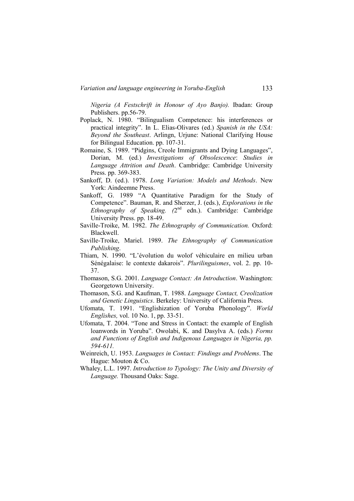*Nigeria (A Festschrift in Honour of Ayo Banjo).* Ibadan: Group Publishers. pp.56-79.

- Poplack, N. 1980. "Bilingualism Competence: his interferences or practical integrity". In L. Elias-Olivares (ed.) *Spanish in the USA*: *Beyond the Southeast*. Arlingn, Urjune: National Clarifying House for Bilingual Education. pp. 107-31.
- Romaine, S. 1989. "Pidgins, Creole Immigrants and Dying Languages", Dorian, M. (ed.) *Investigations of Obsolescence*: *Studies in Language Attrition and Death*. Cambridge: Cambridge University Press. pp. 369-383.
- Sankoff, D. (ed.). 1978. *Long Variation: Models and Methods*. New York: Aindeemne Press.
- Sankoff, G. 1989 "A Quantitative Paradigm for the Study of Competence". Bauman, R. and Sherzer, J. (eds.), *Explorations in the Ethnography of Speaking.* (2<sup>nd</sup> edn.). Cambridge: Cambridge University Press. pp. 18-49.
- Saville-Troike, M. 1982. *The Ethnography of Communication.* Oxford: Blackwell.
- Saville-Troike, Mariel. 1989. *The Ethnography of Communication Publishing*.
- Thiam, N. 1990. "L'évolution du wolof véhiculaire en milieu urban Sénégalaise: le contexte dakarois". *Plurilinguismes*, vol. 2. pp. 10-37.
- Thomason, S.G. 2001. *Language Contact: An Introduction*. Washington: Georgetown University.
- Thomason, S.G. and Kaufman, T. 1988. *Language Contact, Creolization and Genetic Linguistics*. Berkeley: University of California Press.
- Ufomata, T. 1991. "Englishization of Yoruba Phonology". *World Englishes,* vol. 10 No. 1, pp. 33-51.
- Ufomata, T. 2004. "Tone and Stress in Contact: the example of English loanwords in Yoruba". Owolabi, K. and Dasylva A. (eds.) *Forms and Functions of English and Indigenous Languages in Nigeria, pp. 594-611.*
- Weinreich, U. 1953. *Languages in Contact: Findings and Problems*. The Hague: Mouton & Co.
- Whaley, L.L. 1997. *Introduction to Typology: The Unity and Diversity of Language.* Thousand Oaks: Sage.